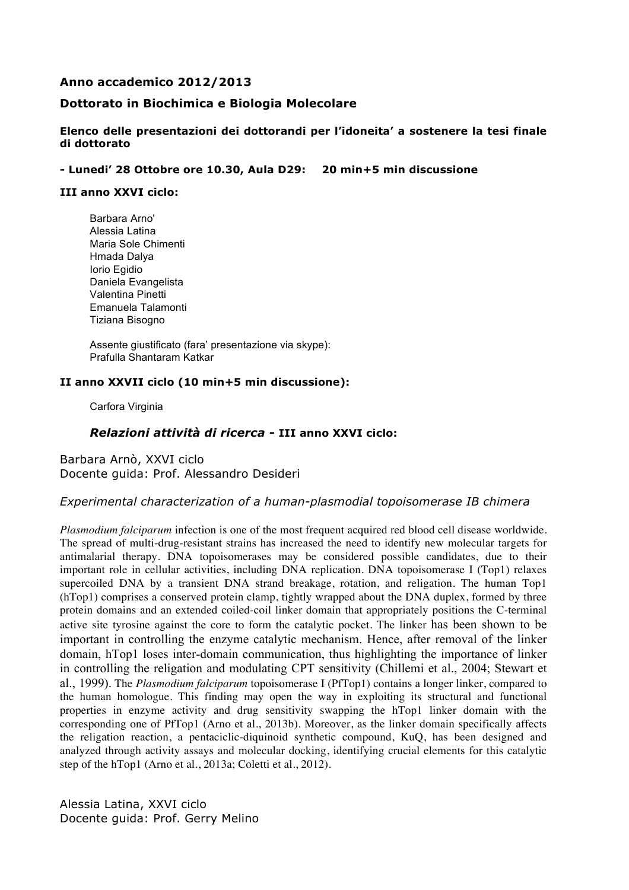# **Anno accademico 2012/2013**

# **Dottorato in Biochimica e Biologia Molecolare**

#### **Elenco delle presentazioni dei dottorandi per l'idoneita' a sostenere la tesi finale di dottorato**

#### **- Lunedi' 28 Ottobre ore 10.30, Aula D29: 20 min+5 min discussione**

#### **III anno XXVI ciclo:**

Barbara Arno' Alessia Latina Maria Sole Chimenti Hmada Dalya Iorio Egidio Daniela Evangelista Valentina Pinetti Emanuela Talamonti Tiziana Bisogno

Assente giustificato (fara' presentazione via skype): Prafulla Shantaram Katkar

#### **II anno XXVII ciclo (10 min+5 min discussione):**

Carfora Virginia

# *Relazioni attività di ricerca -* **III anno XXVI ciclo:**

Barbara Arnò, XXVI ciclo Docente guida: Prof. Alessandro Desideri

#### *Experimental characterization of a human-plasmodial topoisomerase IB chimera*

*Plasmodium falciparum* infection is one of the most frequent acquired red blood cell disease worldwide. The spread of multi-drug-resistant strains has increased the need to identify new molecular targets for antimalarial therapy. DNA topoisomerases may be considered possible candidates, due to their important role in cellular activities, including DNA replication. DNA topoisomerase I (Top1) relaxes supercoiled DNA by a transient DNA strand breakage, rotation, and religation. The human Top1 (hTop1) comprises a conserved protein clamp, tightly wrapped about the DNA duplex, formed by three protein domains and an extended coiled-coil linker domain that appropriately positions the C-terminal active site tyrosine against the core to form the catalytic pocket. The linker has been shown to be important in controlling the enzyme catalytic mechanism. Hence, after removal of the linker domain, hTop1 loses inter-domain communication, thus highlighting the importance of linker in controlling the religation and modulating CPT sensitivity (Chillemi et al., 2004; Stewart et al., 1999). The *Plasmodium falciparum* topoisomerase I (PfTop1) contains a longer linker, compared to the human homologue. This finding may open the way in exploiting its structural and functional properties in enzyme activity and drug sensitivity swapping the hTop1 linker domain with the corresponding one of PfTop1 (Arno et al., 2013b). Moreover, as the linker domain specifically affects the religation reaction, a pentaciclic-diquinoid synthetic compound, KuQ, has been designed and analyzed through activity assays and molecular docking, identifying crucial elements for this catalytic step of the hTop1 (Arno et al., 2013a; Coletti et al., 2012).

Alessia Latina, XXVI ciclo Docente guida: Prof. Gerry Melino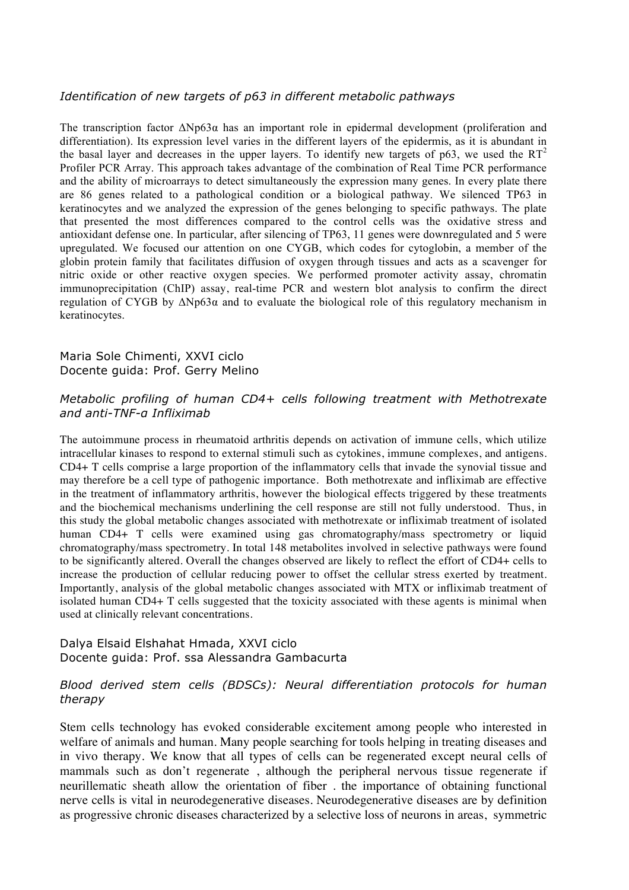# *Identification of new targets of p63 in different metabolic pathways*

The transcription factor  $\Delta Np63\alpha$  has an important role in epidermal development (proliferation and differentiation). Its expression level varies in the different layers of the epidermis, as it is abundant in the basal layer and decreases in the upper layers. To identify new targets of p63, we used the  $RT<sup>2</sup>$ Profiler PCR Array. This approach takes advantage of the combination of Real Time PCR performance and the ability of microarrays to detect simultaneously the expression many genes. In every plate there are 86 genes related to a pathological condition or a biological pathway. We silenced TP63 in keratinocytes and we analyzed the expression of the genes belonging to specific pathways. The plate that presented the most differences compared to the control cells was the oxidative stress and antioxidant defense one. In particular, after silencing of TP63, 11 genes were downregulated and 5 were upregulated. We focused our attention on one CYGB, which codes for cytoglobin, a member of the globin protein family that facilitates diffusion of oxygen through tissues and acts as a scavenger for nitric oxide or other reactive oxygen species. We performed promoter activity assay, chromatin immunoprecipitation (ChIP) assay, real-time PCR and western blot analysis to confirm the direct regulation of CYGB by  $ΔNp63α$  and to evaluate the biological role of this regulatory mechanism in keratinocytes.

# Maria Sole Chimenti, XXVI ciclo Docente guida: Prof. Gerry Melino

# *Metabolic profiling of human CD4+ cells following treatment with Methotrexate and anti-TNF-α Infliximab*

The autoimmune process in rheumatoid arthritis depends on activation of immune cells, which utilize intracellular kinases to respond to external stimuli such as cytokines, immune complexes, and antigens. CD4+ T cells comprise a large proportion of the inflammatory cells that invade the synovial tissue and may therefore be a cell type of pathogenic importance. Both methotrexate and infliximab are effective in the treatment of inflammatory arthritis, however the biological effects triggered by these treatments and the biochemical mechanisms underlining the cell response are still not fully understood. Thus, in this study the global metabolic changes associated with methotrexate or infliximab treatment of isolated human CD4+ T cells were examined using gas chromatography/mass spectrometry or liquid chromatography/mass spectrometry. In total 148 metabolites involved in selective pathways were found to be significantly altered. Overall the changes observed are likely to reflect the effort of CD4+ cells to increase the production of cellular reducing power to offset the cellular stress exerted by treatment. Importantly, analysis of the global metabolic changes associated with MTX or infliximab treatment of isolated human CD4+ T cells suggested that the toxicity associated with these agents is minimal when used at clinically relevant concentrations.

### Dalya Elsaid Elshahat Hmada, XXVI ciclo Docente guida: Prof. ssa Alessandra Gambacurta

# *Blood derived stem cells (BDSCs): Neural differentiation protocols for human therapy*

Stem cells technology has evoked considerable excitement among people who interested in welfare of animals and human. Many people searching for tools helping in treating diseases and in vivo therapy. We know that all types of cells can be regenerated except neural cells of mammals such as don't regenerate , although the peripheral nervous tissue regenerate if neurillematic sheath allow the orientation of fiber . the importance of obtaining functional nerve cells is vital in neurodegenerative diseases. Neurodegenerative diseases are by definition as progressive chronic diseases characterized by a selective loss of neurons in areas, symmetric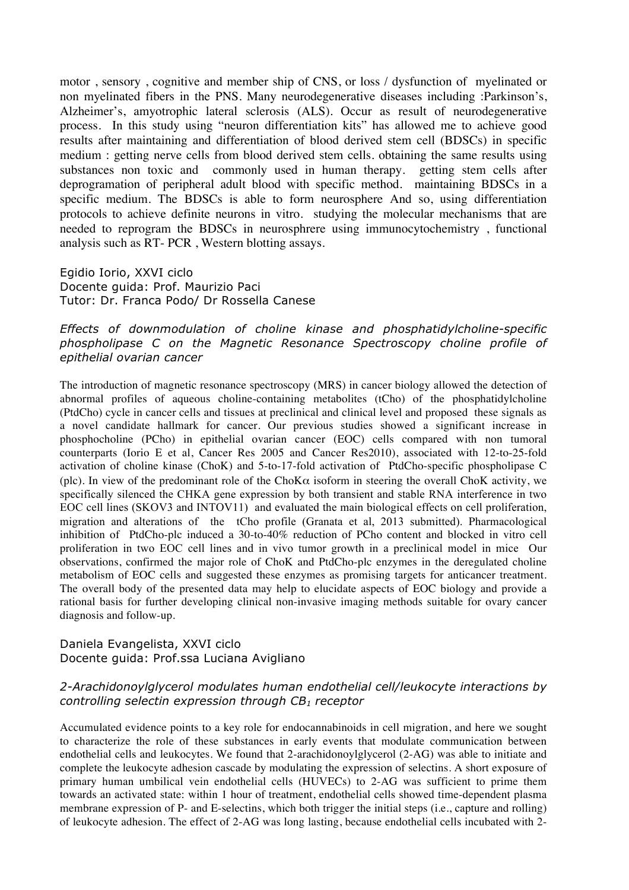motor , sensory , cognitive and member ship of CNS, or loss / dysfunction of myelinated or non myelinated fibers in the PNS. Many neurodegenerative diseases including :Parkinson's, Alzheimer's, amyotrophic lateral sclerosis (ALS). Occur as result of neurodegenerative process. In this study using "neuron differentiation kits" has allowed me to achieve good results after maintaining and differentiation of blood derived stem cell (BDSCs) in specific medium : getting nerve cells from blood derived stem cells. obtaining the same results using substances non toxic and commonly used in human therapy. getting stem cells after deprogramation of peripheral adult blood with specific method. maintaining BDSCs in a specific medium. The BDSCs is able to form neurosphere And so, using differentiation protocols to achieve definite neurons in vitro. studying the molecular mechanisms that are needed to reprogram the BDSCs in neurosphrere using immunocytochemistry , functional analysis such as RT- PCR , Western blotting assays.

Egidio Iorio, XXVI ciclo Docente guida: Prof. Maurizio Paci Tutor: Dr. Franca Podo/ Dr Rossella Canese

# *Effects of downmodulation of choline kinase and phosphatidylcholine-specific phospholipase C on the Magnetic Resonance Spectroscopy choline profile of epithelial ovarian cancer*

The introduction of magnetic resonance spectroscopy (MRS) in cancer biology allowed the detection of abnormal profiles of aqueous choline-containing metabolites (tCho) of the phosphatidylcholine (PtdCho) cycle in cancer cells and tissues at preclinical and clinical level and proposed these signals as a novel candidate hallmark for cancer. Our previous studies showed a significant increase in phosphocholine (PCho) in epithelial ovarian cancer (EOC) cells compared with non tumoral counterparts (Iorio E et al, Cancer Res 2005 and Cancer Res2010), associated with 12-to-25-fold activation of choline kinase (ChoK) and 5-to-17-fold activation of PtdCho-specific phospholipase C (plc). In view of the predominant role of the ChoK $\alpha$  isoform in steering the overall ChoK activity, we specifically silenced the CHKA gene expression by both transient and stable RNA interference in two EOC cell lines (SKOV3 and INTOV11) and evaluated the main biological effects on cell proliferation, migration and alterations of the tCho profile (Granata et al, 2013 submitted). Pharmacological inhibition of PtdCho-plc induced a 30-to-40% reduction of PCho content and blocked in vitro cell proliferation in two EOC cell lines and in vivo tumor growth in a preclinical model in mice Our observations, confirmed the major role of ChoK and PtdCho-plc enzymes in the deregulated choline metabolism of EOC cells and suggested these enzymes as promising targets for anticancer treatment. The overall body of the presented data may help to elucidate aspects of EOC biology and provide a rational basis for further developing clinical non-invasive imaging methods suitable for ovary cancer diagnosis and follow-up.

# Daniela Evangelista, XXVI ciclo Docente guida: Prof.ssa Luciana Avigliano

# *2-Arachidonoylglycerol modulates human endothelial cell/leukocyte interactions by controlling selectin expression through CB1 receptor*

Accumulated evidence points to a key role for endocannabinoids in cell migration, and here we sought to characterize the role of these substances in early events that modulate communication between endothelial cells and leukocytes. We found that 2-arachidonoylglycerol (2-AG) was able to initiate and complete the leukocyte adhesion cascade by modulating the expression of selectins. A short exposure of primary human umbilical vein endothelial cells (HUVECs) to 2-AG was sufficient to prime them towards an activated state: within 1 hour of treatment, endothelial cells showed time-dependent plasma membrane expression of P- and E-selectins, which both trigger the initial steps (i.e., capture and rolling) of leukocyte adhesion. The effect of 2-AG was long lasting, because endothelial cells incubated with 2-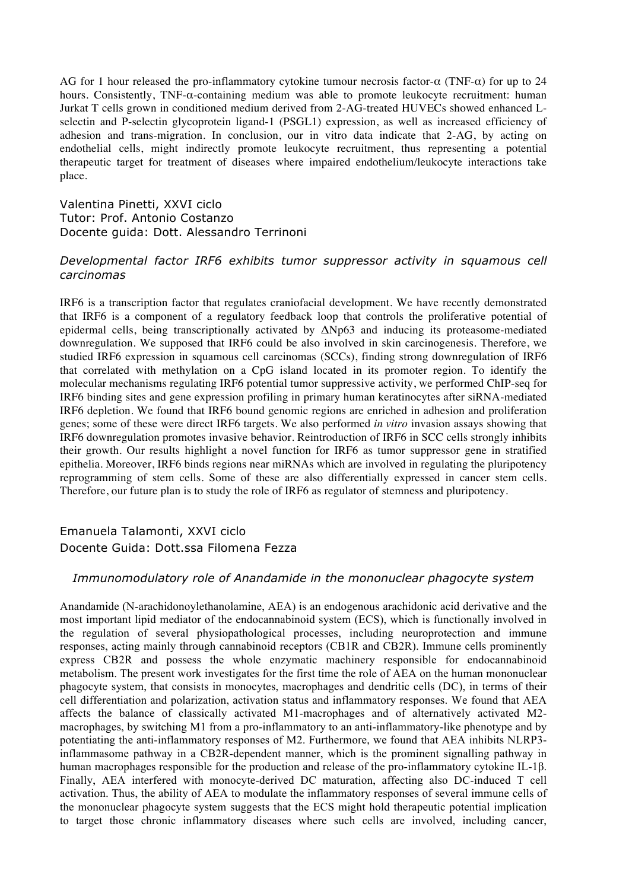AG for 1 hour released the pro-inflammatory cytokine tumour necrosis factor-α (TNF-α) for up to 24 hours. Consistently, TNF-α-containing medium was able to promote leukocyte recruitment: human Jurkat T cells grown in conditioned medium derived from 2-AG-treated HUVECs showed enhanced Lselectin and P-selectin glycoprotein ligand-1 (PSGL1) expression, as well as increased efficiency of adhesion and trans-migration. In conclusion, our in vitro data indicate that 2-AG, by acting on endothelial cells, might indirectly promote leukocyte recruitment, thus representing a potential therapeutic target for treatment of diseases where impaired endothelium/leukocyte interactions take place.

Valentina Pinetti, XXVI ciclo Tutor: Prof. Antonio Costanzo Docente guida: Dott. Alessandro Terrinoni

# *Developmental factor IRF6 exhibits tumor suppressor activity in squamous cell carcinomas*

IRF6 is a transcription factor that regulates craniofacial development. We have recently demonstrated that IRF6 is a component of a regulatory feedback loop that controls the proliferative potential of epidermal cells, being transcriptionally activated by ΔNp63 and inducing its proteasome-mediated downregulation. We supposed that IRF6 could be also involved in skin carcinogenesis. Therefore, we studied IRF6 expression in squamous cell carcinomas (SCCs), finding strong downregulation of IRF6 that correlated with methylation on a CpG island located in its promoter region. To identify the molecular mechanisms regulating IRF6 potential tumor suppressive activity, we performed ChIP-seq for IRF6 binding sites and gene expression profiling in primary human keratinocytes after siRNA-mediated IRF6 depletion. We found that IRF6 bound genomic regions are enriched in adhesion and proliferation genes; some of these were direct IRF6 targets. We also performed *in vitro* invasion assays showing that IRF6 downregulation promotes invasive behavior. Reintroduction of IRF6 in SCC cells strongly inhibits their growth. Our results highlight a novel function for IRF6 as tumor suppressor gene in stratified epithelia. Moreover, IRF6 binds regions near miRNAs which are involved in regulating the pluripotency reprogramming of stem cells. Some of these are also differentially expressed in cancer stem cells. Therefore, our future plan is to study the role of IRF6 as regulator of stemness and pluripotency.

# Emanuela Talamonti, XXVI ciclo Docente Guida: Dott.ssa Filomena Fezza

# *Immunomodulatory role of Anandamide in the mononuclear phagocyte system*

Anandamide (N-arachidonoylethanolamine, AEA) is an endogenous arachidonic acid derivative and the most important lipid mediator of the endocannabinoid system (ECS), which is functionally involved in the regulation of several physiopathological processes, including neuroprotection and immune responses, acting mainly through cannabinoid receptors (CB1R and CB2R). Immune cells prominently express CB2R and possess the whole enzymatic machinery responsible for endocannabinoid metabolism. The present work investigates for the first time the role of AEA on the human mononuclear phagocyte system, that consists in monocytes, macrophages and dendritic cells (DC), in terms of their cell differentiation and polarization, activation status and inflammatory responses. We found that AEA affects the balance of classically activated M1-macrophages and of alternatively activated M2 macrophages, by switching M1 from a pro-inflammatory to an anti-inflammatory-like phenotype and by potentiating the anti-inflammatory responses of M2. Furthermore, we found that AEA inhibits NLRP3 inflammasome pathway in a CB2R-dependent manner, which is the prominent signalling pathway in human macrophages responsible for the production and release of the pro-inflammatory cytokine IL-1β. Finally, AEA interfered with monocyte-derived DC maturation, affecting also DC-induced T cell activation. Thus, the ability of AEA to modulate the inflammatory responses of several immune cells of the mononuclear phagocyte system suggests that the ECS might hold therapeutic potential implication to target those chronic inflammatory diseases where such cells are involved, including cancer,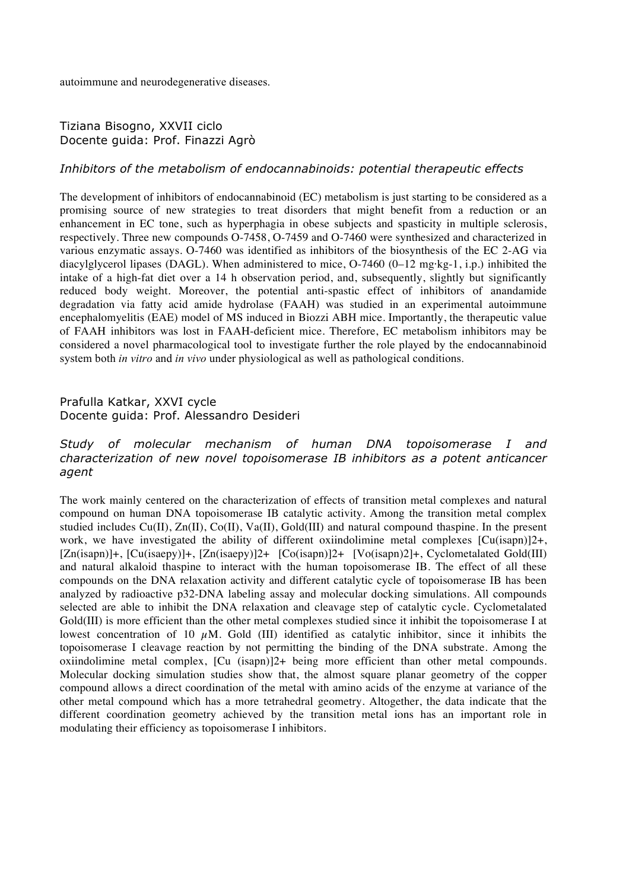autoimmune and neurodegenerative diseases.

#### Tiziana Bisogno, XXVII ciclo Docente guida: Prof. Finazzi Agrò

#### *Inhibitors of the metabolism of endocannabinoids: potential therapeutic effects*

The development of inhibitors of endocannabinoid (EC) metabolism is just starting to be considered as a promising source of new strategies to treat disorders that might benefit from a reduction or an enhancement in EC tone, such as hyperphagia in obese subjects and spasticity in multiple sclerosis, respectively. Three new compounds O-7458, O-7459 and O-7460 were synthesized and characterized in various enzymatic assays. O-7460 was identified as inhibitors of the biosynthesis of the EC 2-AG via diacylglycerol lipases (DAGL). When administered to mice, O-7460 (0–12 mg·kg-1, i.p.) inhibited the intake of a high-fat diet over a 14 h observation period, and, subsequently, slightly but significantly reduced body weight. Moreover, the potential anti-spastic effect of inhibitors of anandamide degradation via fatty acid amide hydrolase (FAAH) was studied in an experimental autoimmune encephalomyelitis (EAE) model of MS induced in Biozzi ABH mice. Importantly, the therapeutic value of FAAH inhibitors was lost in FAAH-deficient mice. Therefore, EC metabolism inhibitors may be considered a novel pharmacological tool to investigate further the role played by the endocannabinoid system both *in vitro* and *in vivo* under physiological as well as pathological conditions.

# Prafulla Katkar, XXVI cycle

Docente guida: Prof. Alessandro Desideri

# *Study of molecular mechanism of human DNA topoisomerase I and characterization of new novel topoisomerase IB inhibitors as a potent anticancer agent*

The work mainly centered on the characterization of effects of transition metal complexes and natural compound on human DNA topoisomerase IB catalytic activity. Among the transition metal complex studied includes Cu(II), Zn(II), Co(II), Va(II), Gold(III) and natural compound thaspine. In the present work, we have investigated the ability of different oxiindolimine metal complexes  $\lceil Cu(\text{isapn}) \rceil \cdot 2^+$ , [Zn(isapn)]+, [Cu(isaepy)]+, [Zn(isaepy)]2+ [Co(isapn)]2+ [Vo(isapn)2]+, Cyclometalated Gold(III) and natural alkaloid thaspine to interact with the human topoisomerase IB. The effect of all these compounds on the DNA relaxation activity and different catalytic cycle of topoisomerase IB has been analyzed by radioactive p32-DNA labeling assay and molecular docking simulations. All compounds selected are able to inhibit the DNA relaxation and cleavage step of catalytic cycle. Cyclometalated Gold(III) is more efficient than the other metal complexes studied since it inhibit the topoisomerase I at lowest concentration of 10  $\mu$ M. Gold (III) identified as catalytic inhibitor, since it inhibits the topoisomerase I cleavage reaction by not permitting the binding of the DNA substrate. Among the oxiindolimine metal complex, [Cu (isapn)]2+ being more efficient than other metal compounds. Molecular docking simulation studies show that, the almost square planar geometry of the copper compound allows a direct coordination of the metal with amino acids of the enzyme at variance of the other metal compound which has a more tetrahedral geometry. Altogether, the data indicate that the different coordination geometry achieved by the transition metal ions has an important role in modulating their efficiency as topoisomerase I inhibitors.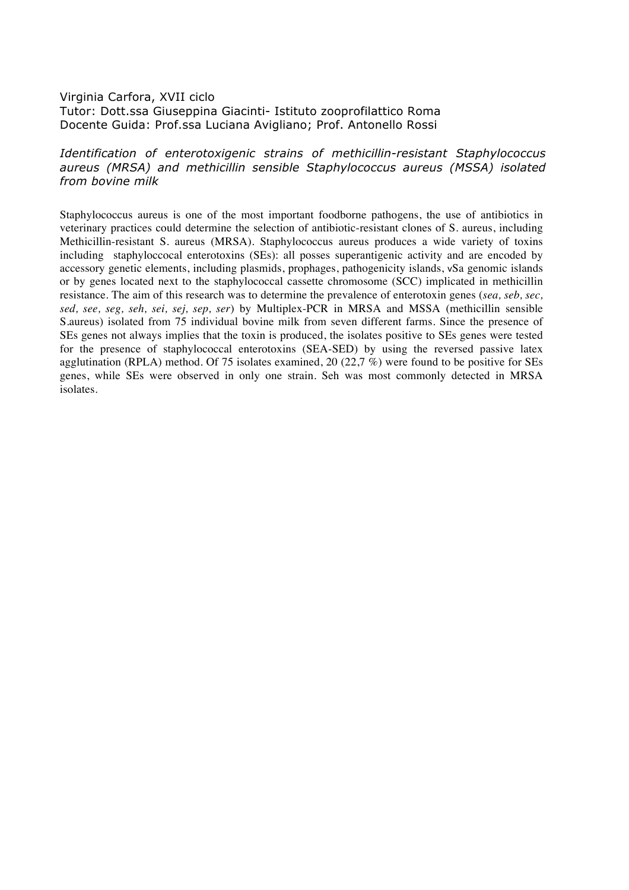# Virginia Carfora, XVII ciclo Tutor: Dott.ssa Giuseppina Giacinti- Istituto zooprofilattico Roma Docente Guida: Prof.ssa Luciana Avigliano; Prof. Antonello Rossi

# *Identification of enterotoxigenic strains of methicillin-resistant Staphylococcus aureus (MRSA) and methicillin sensible Staphylococcus aureus (MSSA) isolated from bovine milk*

Staphylococcus aureus is one of the most important foodborne pathogens, the use of antibiotics in veterinary practices could determine the selection of antibiotic-resistant clones of S. aureus, including Methicillin-resistant S. aureus (MRSA). Staphylococcus aureus produces a wide variety of toxins including staphyloccocal enterotoxins (SEs): all posses superantigenic activity and are encoded by accessory genetic elements, including plasmids, prophages, pathogenicity islands, νSa genomic islands or by genes located next to the staphylococcal cassette chromosome (SCC) implicated in methicillin resistance. The aim of this research was to determine the prevalence of enterotoxin genes (*sea, seb, sec, sed, see, seg, seh, sei, sej, sep, ser*) by Multiplex-PCR in MRSA and MSSA (methicillin sensible S.aureus) isolated from 75 individual bovine milk from seven different farms. Since the presence of SEs genes not always implies that the toxin is produced, the isolates positive to SEs genes were tested for the presence of staphylococcal enterotoxins (SEA-SED) by using the reversed passive latex agglutination (RPLA) method. Of 75 isolates examined, 20 (22,7 %) were found to be positive for SEs genes, while SEs were observed in only one strain. Seh was most commonly detected in MRSA isolates.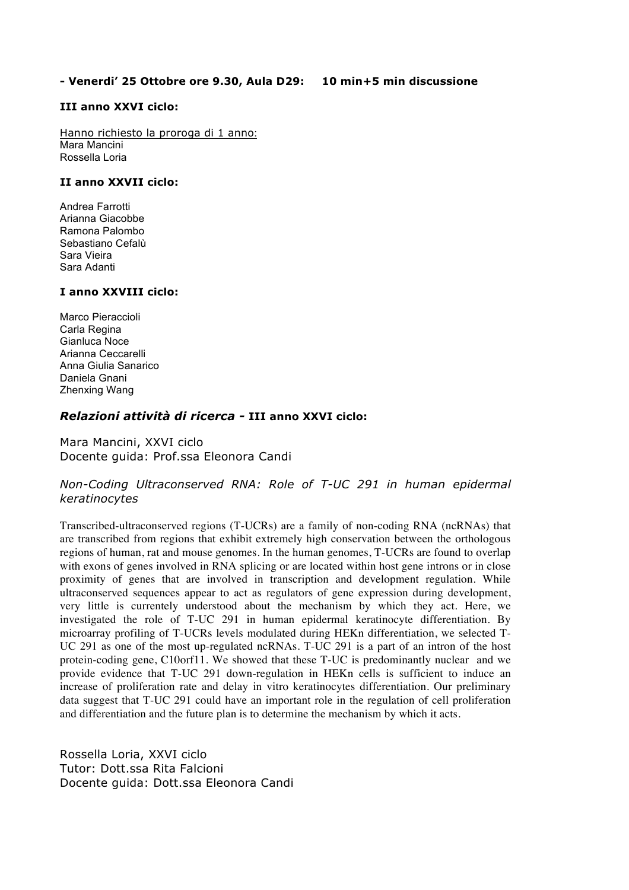#### **- Venerdi' 25 Ottobre ore 9.30, Aula D29: 10 min+5 min discussione**

#### **III anno XXVI ciclo:**

Hanno richiesto la proroga di 1 anno: Mara Mancini Rossella Loria

#### **II anno XXVII ciclo:**

Andrea Farrotti Arianna Giacobbe Ramona Palombo Sebastiano Cefalù Sara Vieira Sara Adanti

#### **I anno XXVIII ciclo:**

Marco Pieraccioli Carla Regina Gianluca Noce Arianna Ceccarelli Anna Giulia Sanarico Daniela Gnani Zhenxing Wang

### *Relazioni attività di ricerca -* **III anno XXVI ciclo:**

Mara Mancini, XXVI ciclo Docente guida: Prof.ssa Eleonora Candi

### *Non-Coding Ultraconserved RNA: Role of T-UC 291 in human epidermal keratinocytes*

Transcribed-ultraconserved regions (T-UCRs) are a family of non-coding RNA (ncRNAs) that are transcribed from regions that exhibit extremely high conservation between the orthologous regions of human, rat and mouse genomes. In the human genomes, T-UCRs are found to overlap with exons of genes involved in RNA splicing or are located within host gene introns or in close proximity of genes that are involved in transcription and development regulation. While ultraconserved sequences appear to act as regulators of gene expression during development, very little is currentely understood about the mechanism by which they act. Here, we investigated the role of T-UC 291 in human epidermal keratinocyte differentiation. By microarray profiling of T-UCRs levels modulated during HEKn differentiation, we selected T-UC 291 as one of the most up-regulated ncRNAs. T-UC 291 is a part of an intron of the host protein-coding gene, C10orf11. We showed that these T-UC is predominantly nuclear and we provide evidence that T-UC 291 down-regulation in HEKn cells is sufficient to induce an increase of proliferation rate and delay in vitro keratinocytes differentiation. Our preliminary data suggest that T-UC 291 could have an important role in the regulation of cell proliferation and differentiation and the future plan is to determine the mechanism by which it acts.

Rossella Loria, XXVI ciclo Tutor: Dott.ssa Rita Falcioni Docente guida: Dott.ssa Eleonora Candi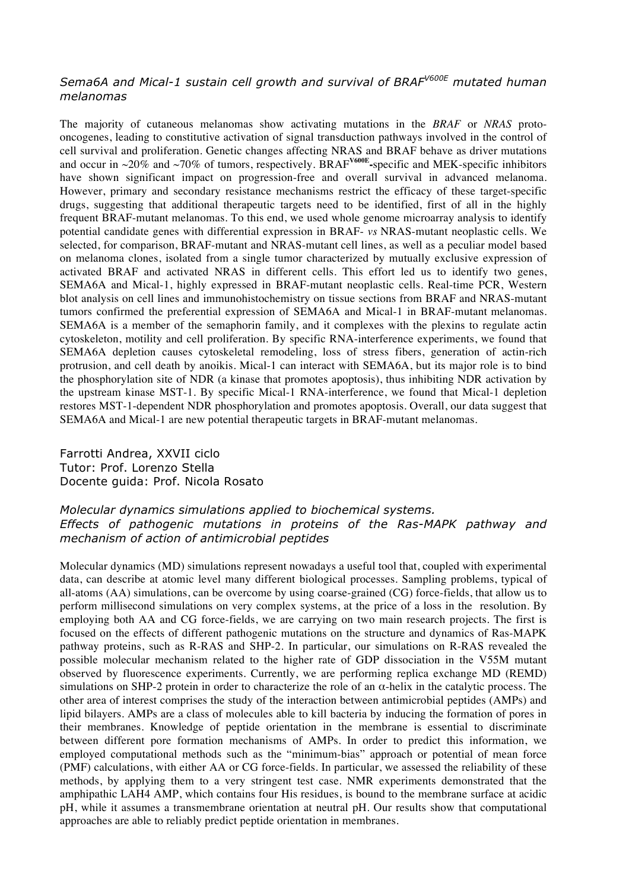# *Sema6A and Mical-1 sustain cell growth and survival of BRAFV600E mutated human melanomas*

The majority of cutaneous melanomas show activating mutations in the *BRAF* or *NRAS* protooncogenes, leading to constitutive activation of signal transduction pathways involved in the control of cell survival and proliferation. Genetic changes affecting NRAS and BRAF behave as driver mutations and occur in ~20% and ~70% of tumors, respectively. BRAF**V600E-**specific and MEK-specific inhibitors have shown significant impact on progression-free and overall survival in advanced melanoma. However, primary and secondary resistance mechanisms restrict the efficacy of these target-specific drugs, suggesting that additional therapeutic targets need to be identified, first of all in the highly frequent BRAF-mutant melanomas. To this end, we used whole genome microarray analysis to identify potential candidate genes with differential expression in BRAF- *vs* NRAS-mutant neoplastic cells. We selected, for comparison, BRAF-mutant and NRAS-mutant cell lines, as well as a peculiar model based on melanoma clones, isolated from a single tumor characterized by mutually exclusive expression of activated BRAF and activated NRAS in different cells. This effort led us to identify two genes, SEMA6A and Mical-1, highly expressed in BRAF-mutant neoplastic cells. Real-time PCR, Western blot analysis on cell lines and immunohistochemistry on tissue sections from BRAF and NRAS-mutant tumors confirmed the preferential expression of SEMA6A and Mical-1 in BRAF-mutant melanomas. SEMA6A is a member of the semaphorin family, and it complexes with the plexins to regulate actin cytoskeleton, motility and cell proliferation. By specific RNA-interference experiments, we found that SEMA6A depletion causes cytoskeletal remodeling, loss of stress fibers, generation of actin-rich protrusion, and cell death by anoikis. Mical-1 can interact with SEMA6A, but its major role is to bind the phosphorylation site of NDR (a kinase that promotes apoptosis), thus inhibiting NDR activation by the upstream kinase MST-1. By specific Mical-1 RNA-interference, we found that Mical-1 depletion restores MST-1-dependent NDR phosphorylation and promotes apoptosis. Overall, our data suggest that SEMA6A and Mical-1 are new potential therapeutic targets in BRAF-mutant melanomas.

Farrotti Andrea, XXVII ciclo Tutor: Prof. Lorenzo Stella Docente guida: Prof. Nicola Rosato

# *Molecular dynamics simulations applied to biochemical systems. Effects of pathogenic mutations in proteins of the Ras-MAPK pathway and mechanism of action of antimicrobial peptides*

Molecular dynamics (MD) simulations represent nowadays a useful tool that, coupled with experimental data, can describe at atomic level many different biological processes. Sampling problems, typical of all-atoms (AA) simulations, can be overcome by using coarse-grained (CG) force-fields, that allow us to perform millisecond simulations on very complex systems, at the price of a loss in the resolution. By employing both AA and CG force-fields, we are carrying on two main research projects. The first is focused on the effects of different pathogenic mutations on the structure and dynamics of Ras-MAPK pathway proteins, such as R-RAS and SHP-2. In particular, our simulations on R-RAS revealed the possible molecular mechanism related to the higher rate of GDP dissociation in the V55M mutant observed by fluorescence experiments. Currently, we are performing replica exchange MD (REMD) simulations on SHP-2 protein in order to characterize the role of an  $\alpha$ -helix in the catalytic process. The other area of interest comprises the study of the interaction between antimicrobial peptides (AMPs) and lipid bilayers. AMPs are a class of molecules able to kill bacteria by inducing the formation of pores in their membranes. Knowledge of peptide orientation in the membrane is essential to discriminate between different pore formation mechanisms of AMPs. In order to predict this information, we employed computational methods such as the "minimum-bias" approach or potential of mean force (PMF) calculations, with either AA or CG force-fields. In particular, we assessed the reliability of these methods, by applying them to a very stringent test case. NMR experiments demonstrated that the amphipathic LAH4 AMP, which contains four His residues, is bound to the membrane surface at acidic pH, while it assumes a transmembrane orientation at neutral pH. Our results show that computational approaches are able to reliably predict peptide orientation in membranes.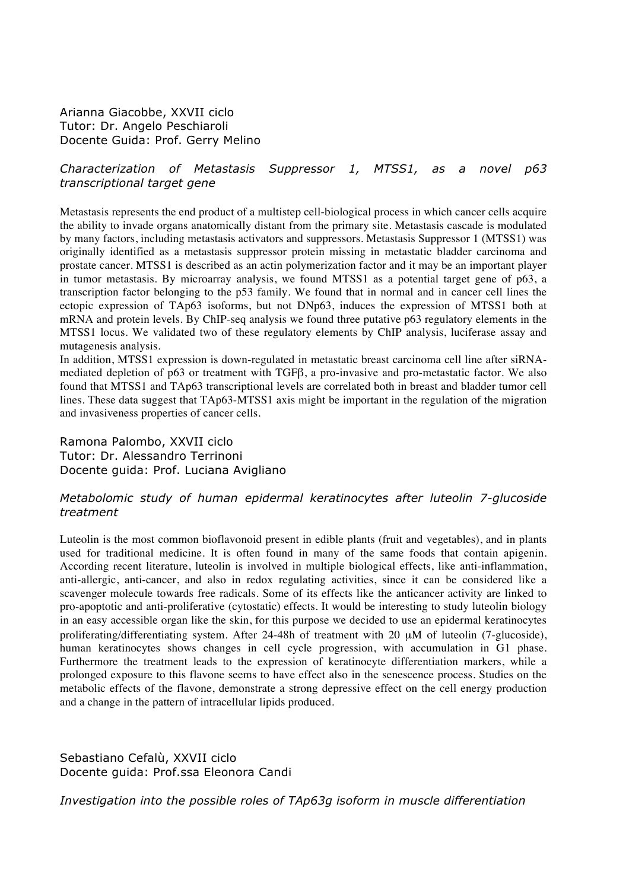Arianna Giacobbe, XXVII ciclo Tutor: Dr. Angelo Peschiaroli Docente Guida: Prof. Gerry Melino

### *Characterization of Metastasis Suppressor 1, MTSS1, as a novel p63 transcriptional target gene*

Metastasis represents the end product of a multistep cell-biological process in which cancer cells acquire the ability to invade organs anatomically distant from the primary site. Metastasis cascade is modulated by many factors, including metastasis activators and suppressors. Metastasis Suppressor 1 (MTSS1) was originally identified as a metastasis suppressor protein missing in metastatic bladder carcinoma and prostate cancer. MTSS1 is described as an actin polymerization factor and it may be an important player in tumor metastasis. By microarray analysis, we found MTSS1 as a potential target gene of p63, a transcription factor belonging to the p53 family. We found that in normal and in cancer cell lines the ectopic expression of TAp63 isoforms, but not DNp63, induces the expression of MTSS1 both at mRNA and protein levels. By ChIP-seq analysis we found three putative p63 regulatory elements in the MTSS1 locus. We validated two of these regulatory elements by ChIP analysis, luciferase assay and mutagenesis analysis.

In addition, MTSS1 expression is down-regulated in metastatic breast carcinoma cell line after siRNAmediated depletion of p63 or treatment with TGFβ, a pro-invasive and pro-metastatic factor. We also found that MTSS1 and TAp63 transcriptional levels are correlated both in breast and bladder tumor cell lines. These data suggest that TAp63-MTSS1 axis might be important in the regulation of the migration and invasiveness properties of cancer cells.

Ramona Palombo, XXVII ciclo Tutor: Dr. Alessandro Terrinoni Docente guida: Prof. Luciana Avigliano

### *Metabolomic study of human epidermal keratinocytes after luteolin 7-glucoside treatment*

Luteolin is the most common bioflavonoid present in edible plants (fruit and vegetables), and in plants used for traditional medicine. It is often found in many of the same foods that contain apigenin. According recent literature, luteolin is involved in multiple biological effects, like anti-inflammation, anti-allergic, anti-cancer, and also in redox regulating activities, since it can be considered like a scavenger molecule towards free radicals. Some of its effects like the anticancer activity are linked to pro-apoptotic and anti-proliferative (cytostatic) effects. It would be interesting to study luteolin biology in an easy accessible organ like the skin, for this purpose we decided to use an epidermal keratinocytes proliferating/differentiating system. After 24-48h of treatment with 20  $\mu$ M of luteolin (7-glucoside), human keratinocytes shows changes in cell cycle progression, with accumulation in G1 phase. Furthermore the treatment leads to the expression of keratinocyte differentiation markers, while a prolonged exposure to this flavone seems to have effect also in the senescence process. Studies on the metabolic effects of the flavone, demonstrate a strong depressive effect on the cell energy production and a change in the pattern of intracellular lipids produced.

Sebastiano Cefalù, XXVII ciclo Docente guida: Prof.ssa Eleonora Candi

*Investigation into the possible roles of TAp63g isoform in muscle differentiation*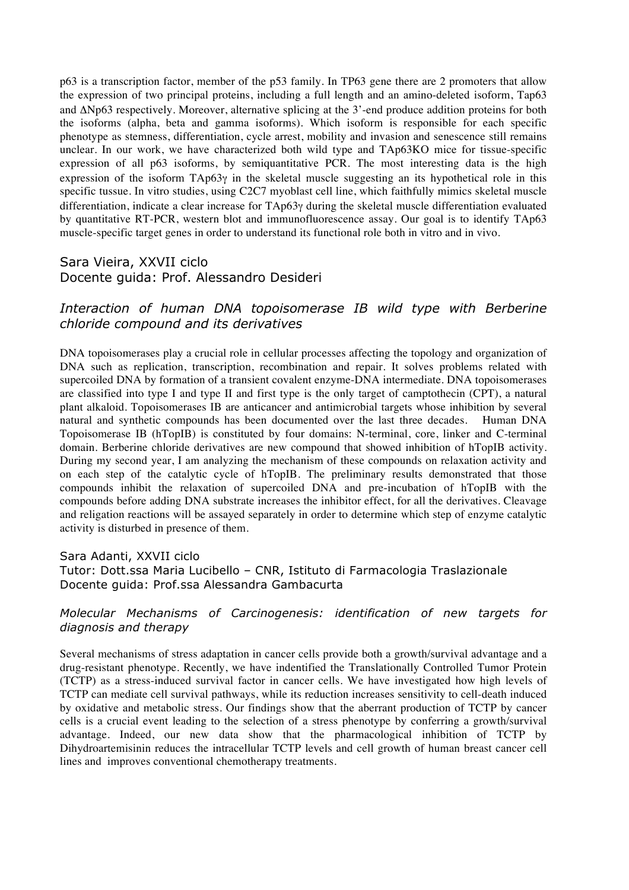p63 is a transcription factor, member of the p53 family. In TP63 gene there are 2 promoters that allow the expression of two principal proteins, including a full length and an amino-deleted isoform, Tap63 and ΔNp63 respectively. Moreover, alternative splicing at the 3'-end produce addition proteins for both the isoforms (alpha, beta and gamma isoforms). Which isoform is responsible for each specific phenotype as stemness, differentiation, cycle arrest, mobility and invasion and senescence still remains unclear. In our work, we have characterized both wild type and TAp63KO mice for tissue-specific expression of all p63 isoforms, by semiquantitative PCR. The most interesting data is the high expression of the isoform  $TAp63\gamma$  in the skeletal muscle suggesting an its hypothetical role in this specific tussue. In vitro studies, using C2C7 myoblast cell line, which faithfully mimics skeletal muscle differentiation, indicate a clear increase for TAp63γ during the skeletal muscle differentiation evaluated by quantitative RT-PCR, western blot and immunofluorescence assay. Our goal is to identify TAp63 muscle-specific target genes in order to understand its functional role both in vitro and in vivo.

# Sara Vieira, XXVII ciclo Docente guida: Prof. Alessandro Desideri

# *Interaction of human DNA topoisomerase IB wild type with Berberine chloride compound and its derivatives*

DNA topoisomerases play a crucial role in cellular processes affecting the topology and organization of DNA such as replication, transcription, recombination and repair. It solves problems related with supercoiled DNA by formation of a transient covalent enzyme-DNA intermediate. DNA topoisomerases are classified into type I and type II and first type is the only target of camptothecin (CPT), a natural plant alkaloid. Topoisomerases IB are anticancer and antimicrobial targets whose inhibition by several natural and synthetic compounds has been documented over the last three decades. Human DNA Topoisomerase IB (hTopIB) is constituted by four domains: N-terminal, core, linker and C-terminal domain. Berberine chloride derivatives are new compound that showed inhibition of hTopIB activity. During my second year, I am analyzing the mechanism of these compounds on relaxation activity and on each step of the catalytic cycle of hTopIB. The preliminary results demonstrated that those compounds inhibit the relaxation of supercoiled DNA and pre-incubation of hTopIB with the compounds before adding DNA substrate increases the inhibitor effect, for all the derivatives. Cleavage and religation reactions will be assayed separately in order to determine which step of enzyme catalytic activity is disturbed in presence of them.

Sara Adanti, XXVII ciclo Tutor: Dott.ssa Maria Lucibello – CNR, Istituto di Farmacologia Traslazionale Docente guida: Prof.ssa Alessandra Gambacurta

# *Molecular Mechanisms of Carcinogenesis: identification of new targets for diagnosis and therapy*

Several mechanisms of stress adaptation in cancer cells provide both a growth/survival advantage and a drug-resistant phenotype. Recently, we have indentified the Translationally Controlled Tumor Protein (TCTP) as a stress-induced survival factor in cancer cells. We have investigated how high levels of TCTP can mediate cell survival pathways, while its reduction increases sensitivity to cell-death induced by oxidative and metabolic stress. Our findings show that the aberrant production of TCTP by cancer cells is a crucial event leading to the selection of a stress phenotype by conferring a growth/survival advantage. Indeed, our new data show that the pharmacological inhibition of TCTP by Dihydroartemisinin reduces the intracellular TCTP levels and cell growth of human breast cancer cell lines and improves conventional chemotherapy treatments.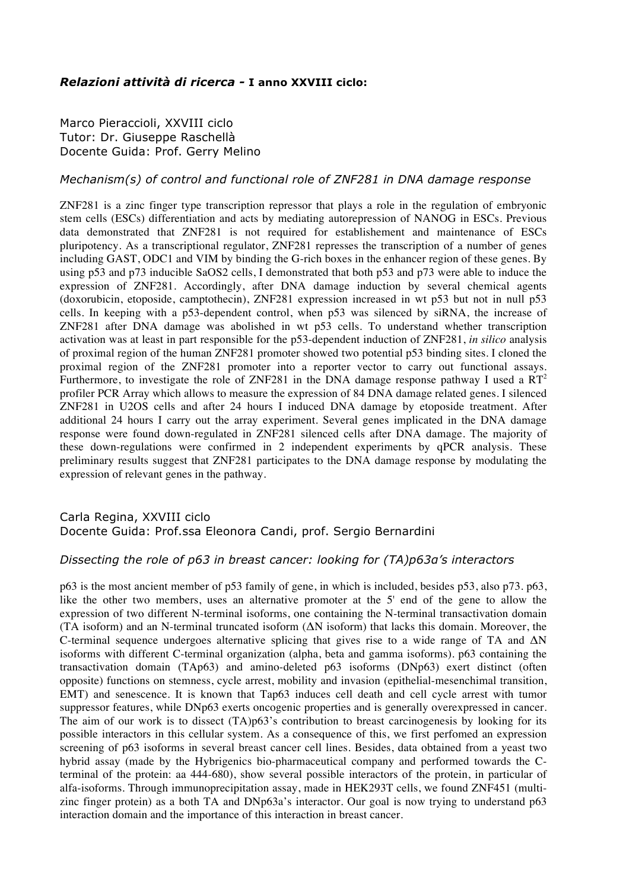### *Relazioni attività di ricerca -* **I anno XXVIII ciclo:**

Marco Pieraccioli, XXVIII ciclo Tutor: Dr. Giuseppe Raschellà Docente Guida: Prof. Gerry Melino

#### *Mechanism(s) of control and functional role of ZNF281 in DNA damage response*

ZNF281 is a zinc finger type transcription repressor that plays a role in the regulation of embryonic stem cells (ESCs) differentiation and acts by mediating autorepression of NANOG in ESCs. Previous data demonstrated that ZNF281 is not required for establishement and maintenance of ESCs pluripotency. As a transcriptional regulator, ZNF281 represses the transcription of a number of genes including GAST, ODC1 and VIM by binding the G-rich boxes in the enhancer region of these genes. By using p53 and p73 inducible SaOS2 cells, I demonstrated that both p53 and p73 were able to induce the expression of ZNF281. Accordingly, after DNA damage induction by several chemical agents (doxorubicin, etoposide, camptothecin), ZNF281 expression increased in wt p53 but not in null p53 cells. In keeping with a p53-dependent control, when p53 was silenced by siRNA, the increase of ZNF281 after DNA damage was abolished in wt p53 cells. To understand whether transcription activation was at least in part responsible for the p53-dependent induction of ZNF281, *in silico* analysis of proximal region of the human ZNF281 promoter showed two potential p53 binding sites. I cloned the proximal region of the ZNF281 promoter into a reporter vector to carry out functional assays. Furthermore, to investigate the role of ZNF281 in the DNA damage response pathway I used a  $RT^2$ profiler PCR Array which allows to measure the expression of 84 DNA damage related genes. I silenced ZNF281 in U2OS cells and after 24 hours I induced DNA damage by etoposide treatment. After additional 24 hours I carry out the array experiment. Several genes implicated in the DNA damage response were found down-regulated in ZNF281 silenced cells after DNA damage. The majority of these down-regulations were confirmed in 2 independent experiments by qPCR analysis. These preliminary results suggest that ZNF281 participates to the DNA damage response by modulating the expression of relevant genes in the pathway.

# Carla Regina, XXVIII ciclo Docente Guida: Prof.ssa Eleonora Candi, prof. Sergio Bernardini

#### *Dissecting the role of p63 in breast cancer: looking for (TA)p63α's interactors*

p63 is the most ancient member of p53 family of gene, in which is included, besides p53, also p73. p63, like the other two members, uses an alternative promoter at the 5' end of the gene to allow the expression of two different N-terminal isoforms, one containing the N-terminal transactivation domain (TA isoform) and an N-terminal truncated isoform (ΔN isoform) that lacks this domain. Moreover, the C-terminal sequence undergoes alternative splicing that gives rise to a wide range of TA and  $\Delta N$ isoforms with different C-terminal organization (alpha, beta and gamma isoforms). p63 containing the transactivation domain (TAp63) and amino-deleted p63 isoforms (DNp63) exert distinct (often opposite) functions on stemness, cycle arrest, mobility and invasion (epithelial-mesenchimal transition, EMT) and senescence. It is known that Tap63 induces cell death and cell cycle arrest with tumor suppressor features, while DNp63 exerts oncogenic properties and is generally overexpressed in cancer. The aim of our work is to dissect (TA)p63's contribution to breast carcinogenesis by looking for its possible interactors in this cellular system. As a consequence of this, we first perfomed an expression screening of p63 isoforms in several breast cancer cell lines. Besides, data obtained from a yeast two hybrid assay (made by the Hybrigenics bio-pharmaceutical company and performed towards the Cterminal of the protein: aa 444-680), show several possible interactors of the protein, in particular of alfa-isoforms. Through immunoprecipitation assay, made in HEK293T cells, we found ZNF451 (multizinc finger protein) as a both TA and DNp63a's interactor. Our goal is now trying to understand p63 interaction domain and the importance of this interaction in breast cancer.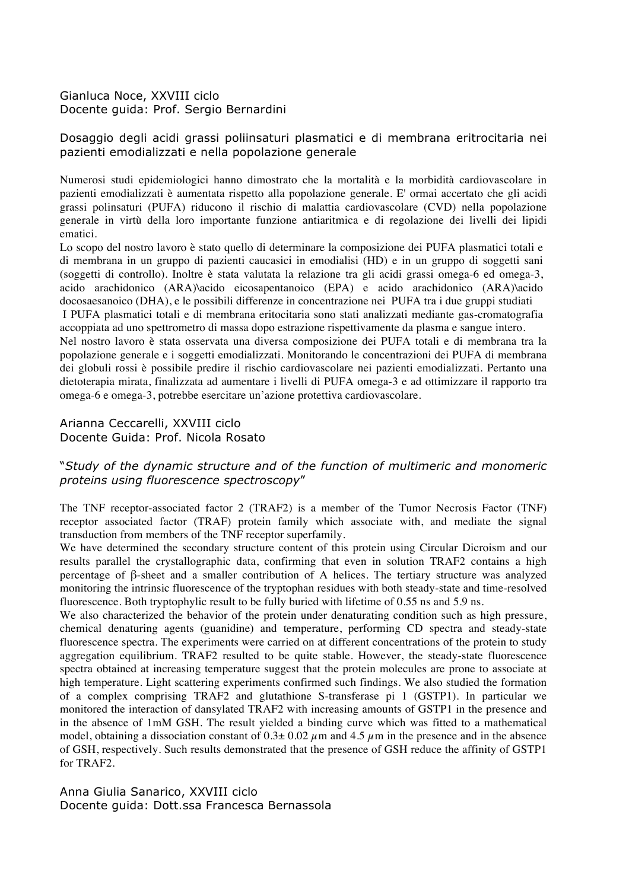# Gianluca Noce, XXVIII ciclo Docente guida: Prof. Sergio Bernardini

# Dosaggio degli acidi grassi poliinsaturi plasmatici e di membrana eritrocitaria nei pazienti emodializzati e nella popolazione generale

Numerosi studi epidemiologici hanno dimostrato che la mortalità e la morbidità cardiovascolare in pazienti emodializzati è aumentata rispetto alla popolazione generale. E' ormai accertato che gli acidi grassi polinsaturi (PUFA) riducono il rischio di malattia cardiovascolare (CVD) nella popolazione generale in virtù della loro importante funzione antiaritmica e di regolazione dei livelli dei lipidi ematici.

Lo scopo del nostro lavoro è stato quello di determinare la composizione dei PUFA plasmatici totali e di membrana in un gruppo di pazienti caucasici in emodialisi (HD) e in un gruppo di soggetti sani (soggetti di controllo). Inoltre è stata valutata la relazione tra gli acidi grassi omega-6 ed omega-3, acido arachidonico (ARA)\acido eicosapentanoico (EPA) e acido arachidonico (ARA)\acido docosaesanoico (DHA), e le possibili differenze in concentrazione nei PUFA tra i due gruppi studiati I PUFA plasmatici totali e di membrana eritocitaria sono stati analizzati mediante gas-cromatografia

accoppiata ad uno spettrometro di massa dopo estrazione rispettivamente da plasma e sangue intero. Nel nostro lavoro è stata osservata una diversa composizione dei PUFA totali e di membrana tra la popolazione generale e i soggetti emodializzati. Monitorando le concentrazioni dei PUFA di membrana dei globuli rossi è possibile predire il rischio cardiovascolare nei pazienti emodializzati. Pertanto una dietoterapia mirata, finalizzata ad aumentare i livelli di PUFA omega-3 e ad ottimizzare il rapporto tra omega-6 e omega-3, potrebbe esercitare un'azione protettiva cardiovascolare.

#### Arianna Ceccarelli, XXVIII ciclo Docente Guida: Prof. Nicola Rosato

# "*Study of the dynamic structure and of the function of multimeric and monomeric proteins using fluorescence spectroscopy*"

The TNF receptor-associated factor 2 (TRAF2) is a member of the Tumor Necrosis Factor (TNF) receptor associated factor (TRAF) protein family which associate with, and mediate the signal transduction from members of the TNF receptor superfamily.

We have determined the secondary structure content of this protein using Circular Dicroism and our results parallel the crystallographic data, confirming that even in solution TRAF2 contains a high percentage of β-sheet and a smaller contribution of A helices. The tertiary structure was analyzed monitoring the intrinsic fluorescence of the tryptophan residues with both steady-state and time-resolved fluorescence. Both tryptophylic result to be fully buried with lifetime of 0.55 ns and 5.9 ns.

We also characterized the behavior of the protein under denaturating condition such as high pressure, chemical denaturing agents (guanidine) and temperature, performing CD spectra and steady-state fluorescence spectra. The experiments were carried on at different concentrations of the protein to study aggregation equilibrium. TRAF2 resulted to be quite stable. However, the steady-state fluorescence spectra obtained at increasing temperature suggest that the protein molecules are prone to associate at high temperature. Light scattering experiments confirmed such findings. We also studied the formation of a complex comprising TRAF2 and glutathione S-transferase pi 1 (GSTP1). In particular we monitored the interaction of dansylated TRAF2 with increasing amounts of GSTP1 in the presence and in the absence of 1mM GSH. The result yielded a binding curve which was fitted to a mathematical model, obtaining a dissociation constant of  $0.3\pm 0.02 \mu$ m and  $4.5 \mu$ m in the presence and in the absence of GSH, respectively. Such results demonstrated that the presence of GSH reduce the affinity of GSTP1 for TRAF2.

Anna Giulia Sanarico, XXVIII ciclo Docente guida: Dott.ssa Francesca Bernassola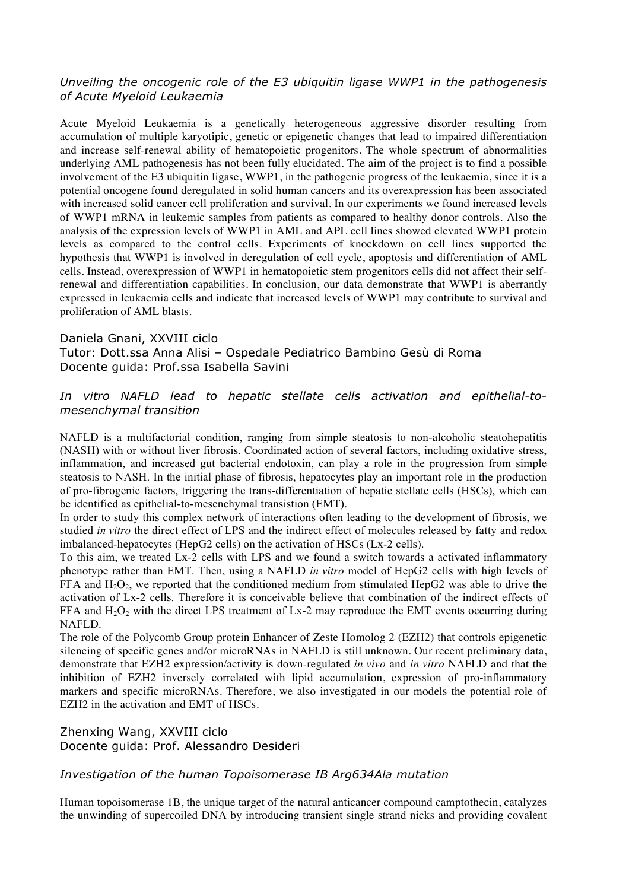# *Unveiling the oncogenic role of the E3 ubiquitin ligase WWP1 in the pathogenesis of Acute Myeloid Leukaemia*

Acute Myeloid Leukaemia is a genetically heterogeneous aggressive disorder resulting from accumulation of multiple karyotipic, genetic or epigenetic changes that lead to impaired differentiation and increase self-renewal ability of hematopoietic progenitors. The whole spectrum of abnormalities underlying AML pathogenesis has not been fully elucidated. The aim of the project is to find a possible involvement of the E3 ubiquitin ligase, WWP1, in the pathogenic progress of the leukaemia, since it is a potential oncogene found deregulated in solid human cancers and its overexpression has been associated with increased solid cancer cell proliferation and survival. In our experiments we found increased levels of WWP1 mRNA in leukemic samples from patients as compared to healthy donor controls. Also the analysis of the expression levels of WWP1 in AML and APL cell lines showed elevated WWP1 protein levels as compared to the control cells. Experiments of knockdown on cell lines supported the hypothesis that WWP1 is involved in deregulation of cell cycle, apoptosis and differentiation of AML cells. Instead, overexpression of WWP1 in hematopoietic stem progenitors cells did not affect their selfrenewal and differentiation capabilities. In conclusion, our data demonstrate that WWP1 is aberrantly expressed in leukaemia cells and indicate that increased levels of WWP1 may contribute to survival and proliferation of AML blasts.

#### Daniela Gnani, XXVIII ciclo

Tutor: Dott.ssa Anna Alisi – Ospedale Pediatrico Bambino Gesù di Roma Docente guida: Prof.ssa Isabella Savini

# *In vitro NAFLD lead to hepatic stellate cells activation and epithelial-tomesenchymal transition*

NAFLD is a multifactorial condition, ranging from simple steatosis to non-alcoholic steatohepatitis (NASH) with or without liver fibrosis. Coordinated action of several factors, including oxidative stress, inflammation, and increased gut bacterial endotoxin, can play a role in the progression from simple steatosis to NASH. In the initial phase of fibrosis, hepatocytes play an important role in the production of pro-fibrogenic factors, triggering the trans-differentiation of hepatic stellate cells (HSCs), which can be identified as epithelial-to-mesenchymal transistion (EMT).

In order to study this complex network of interactions often leading to the development of fibrosis, we studied *in vitro* the direct effect of LPS and the indirect effect of molecules released by fatty and redox imbalanced-hepatocytes (HepG2 cells) on the activation of HSCs (Lx-2 cells).

To this aim, we treated Lx-2 cells with LPS and we found a switch towards a activated inflammatory phenotype rather than EMT. Then, using a NAFLD *in vitro* model of HepG2 cells with high levels of FFA and  $H_2O_2$ , we reported that the conditioned medium from stimulated HepG2 was able to drive the activation of Lx-2 cells. Therefore it is conceivable believe that combination of the indirect effects of FFA and  $H_2O_2$  with the direct LPS treatment of Lx-2 may reproduce the EMT events occurring during NAFLD.

The role of the Polycomb Group protein Enhancer of Zeste Homolog 2 (EZH2) that controls epigenetic silencing of specific genes and/or microRNAs in NAFLD is still unknown. Our recent preliminary data, demonstrate that EZH2 expression/activity is down-regulated *in vivo* and *in vitro* NAFLD and that the inhibition of EZH2 inversely correlated with lipid accumulation, expression of pro-inflammatory markers and specific microRNAs. Therefore, we also investigated in our models the potential role of EZH2 in the activation and EMT of HSCs.

# Zhenxing Wang, XXVIII ciclo Docente guida: Prof. Alessandro Desideri

# *Investigation of the human Topoisomerase IB Arg634Ala mutation*

Human topoisomerase 1B, the unique target of the natural anticancer compound camptothecin, catalyzes the unwinding of supercoiled DNA by introducing transient single strand nicks and providing covalent